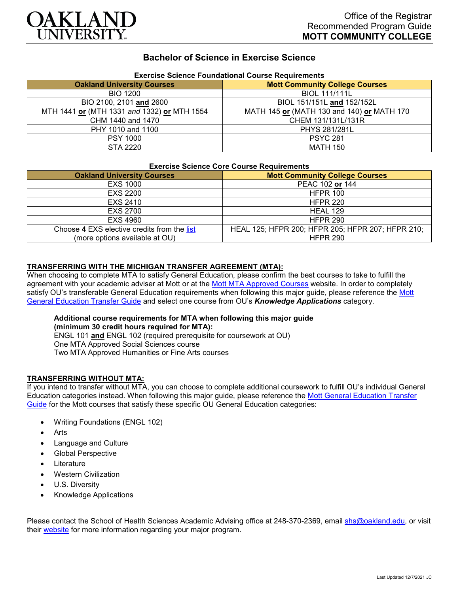

# **Bachelor of Science in Exercise Science**

| Exercise Science Foundational Course Requirements |                                            |
|---------------------------------------------------|--------------------------------------------|
| <b>Oakland University Courses</b>                 | <b>Mott Community College Courses</b>      |
| <b>BIO 1200</b>                                   | <b>BIOL 111/111L</b>                       |
| BIO 2100, 2101 and 2600                           | BIOL 151/151L and 152/152L                 |
| MTH 1441 or (MTH 1331 and 1332) or MTH 1554       | MATH 145 or (MATH 130 and 140) or MATH 170 |
| CHM 1440 and 1470                                 | CHEM 131/131L/131R                         |
| PHY 1010 and 1100                                 | <b>PHYS 281/281L</b>                       |
| <b>PSY 1000</b>                                   | <b>PSYC 281</b>                            |
| STA 2220                                          | <b>MATH 150</b>                            |

# **Exercise Science Foundational Course Requirements**

#### **Exercise Science Core Course Requirements**

| <b>Oakland University Courses</b>           | <b>Mott Community College Courses</b>             |
|---------------------------------------------|---------------------------------------------------|
| <b>EXS 1000</b>                             | PEAC 102 or 144                                   |
| EXS 2200                                    | <b>HFPR 100</b>                                   |
| EXS 2410                                    | <b>HFPR 220</b>                                   |
| EXS 2700                                    | HEAL 129                                          |
| EXS 4960                                    | <b>HFPR 290</b>                                   |
| Choose 4 EXS elective credits from the list | HEAL 125; HFPR 200; HFPR 205; HFPR 207; HFPR 210; |
| (more options available at OU)              | <b>HFPR 290</b>                                   |

## **TRANSFERRING WITH THE MICHIGAN TRANSFER AGREEMENT (MTA):**

When choosing to complete MTA to satisfy General Education, please confirm the best courses to take to fulfill the agreement with your academic adviser at Mott or at the [Mott MTA Approved Courses](https://www.mcc.edu/counseling_student_dev/casd_mi_transfer_agreement.shtml) website. In order to completely satisfy OU's transferable General Education requirements when following this major guide, please reference the Mott [General Education Transfer Guide](https://www.oakland.edu/Assets/Oakland/program-guides/mott-community-college/university-general-education-requirements/Mott%20Gen%20Ed.pdf) and select one course from OU's *Knowledge Applications* category.

#### **Additional course requirements for MTA when following this major guide**

**(minimum 30 credit hours required for MTA):** ENGL 101 **and** ENGL 102 (required prerequisite for coursework at OU) One MTA Approved Social Sciences course Two MTA Approved Humanities or Fine Arts courses

### **TRANSFERRING WITHOUT MTA:**

If you intend to transfer without MTA, you can choose to complete additional coursework to fulfill OU's individual General Education categories instead. When following this major guide, please reference the [Mott General Education Transfer](https://www.oakland.edu/Assets/Oakland/program-guides/mott-community-college/university-general-education-requirements/Mott%20Gen%20Ed.pdf)  [Guide](https://www.oakland.edu/Assets/Oakland/program-guides/mott-community-college/university-general-education-requirements/Mott%20Gen%20Ed.pdf) for the Mott courses that satisfy these specific OU General Education categories:

- Writing Foundations (ENGL 102)
- **Arts**
- Language and Culture
- Global Perspective
- **Literature**
- Western Civilization
- U.S. Diversity
- Knowledge Applications

Please contact the School of Health Sciences Academic Advising office at 248-370-2369, email [shs@oakland.edu,](mailto:shs@oakland.edu) or visit their [website](http://www.oakland.edu/shs/advising) for more information regarding your major program.